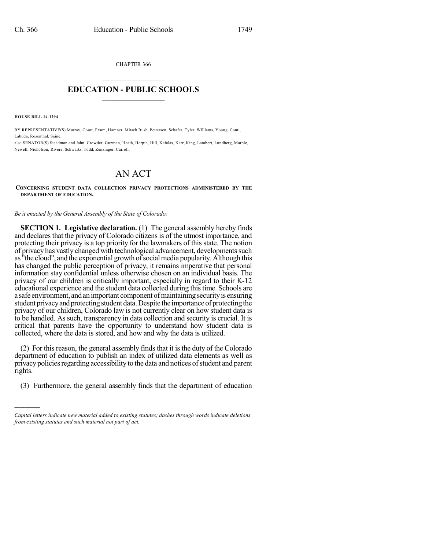CHAPTER 366

## $\mathcal{L}_\text{max}$  . The set of the set of the set of the set of the set of the set of the set of the set of the set of the set of the set of the set of the set of the set of the set of the set of the set of the set of the set **EDUCATION - PUBLIC SCHOOLS**  $\_$   $\_$   $\_$   $\_$   $\_$   $\_$   $\_$   $\_$   $\_$

**HOUSE BILL 14-1294**

)))))

BY REPRESENTATIVE(S) Murray, Court, Exum, Hamner, Mitsch Bush, Pettersen, Schafer, Tyler, Williams, Young, Conti, Labuda, Rosenthal, Saine;

also SENATOR(S) Steadman and Jahn, Crowder, Guzman, Heath, Herpin, Hill, Kefalas, Kerr, King, Lambert, Lundberg, Marble, Newell, Nicholson, Rivera, Schwartz, Todd, Zenzinger, Carroll.

## AN ACT

## **CONCERNING STUDENT DATA COLLECTION PRIVACY PROTECTIONS ADMINISTERED BY THE DEPARTMENT OF EDUCATION.**

*Be it enacted by the General Assembly of the State of Colorado:*

**SECTION 1. Legislative declaration.** (1) The general assembly hereby finds and declares that the privacy of Colorado citizens is of the utmost importance, and protecting their privacy is a top priority for the lawmakers of this state. The notion of privacy has vastly changed with technological advancement, developments such as "the cloud", and the exponential growth ofsocialmedia popularity.Although this has changed the public perception of privacy, it remains imperative that personal information stay confidential unless otherwise chosen on an individual basis. The privacy of our children is critically important, especially in regard to their K-12 educational experience and the student data collected during this time. Schools are a safe environment, and an important component of maintaining security is ensuring student privacy and protecting student data. Despite the importance of protecting the privacy of our children, Colorado law is not currently clear on how student data is to be handled. As such, transparency in data collection and security is crucial. It is critical that parents have the opportunity to understand how student data is collected, where the data is stored, and how and why the data is utilized.

(2) For this reason, the general assembly finds that it is the duty of the Colorado department of education to publish an index of utilized data elements as well as privacy policies regarding accessibility to the data and notices of student and parent rights.

(3) Furthermore, the general assembly finds that the department of education

*Capital letters indicate new material added to existing statutes; dashes through words indicate deletions from existing statutes and such material not part of act.*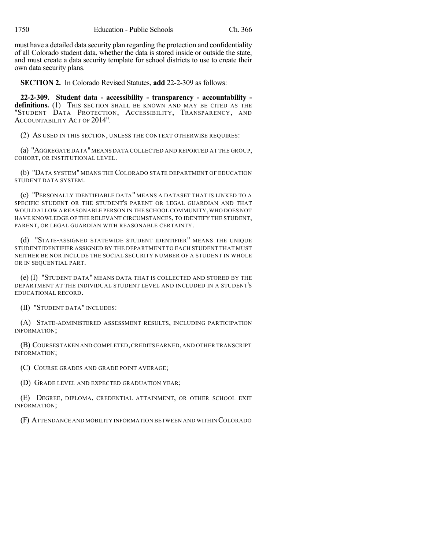must have a detailed data security plan regarding the protection and confidentiality of all Colorado student data, whether the data is stored inside or outside the state, and must create a data security template for school districts to use to create their own data security plans.

**SECTION 2.** In Colorado Revised Statutes, **add** 22-2-309 as follows:

**22-2-309. Student data - accessibility - transparency - accountability**  definitions. (1) THIS SECTION SHALL BE KNOWN AND MAY BE CITED AS THE "STUDENT DATA PROTECTION, ACCESSIBILITY, TRANSPARENCY, AND ACCOUNTABILITY ACT OF 2014".

(2) AS USED IN THIS SECTION, UNLESS THE CONTEXT OTHERWISE REQUIRES:

(a) "AGGREGATE DATA"MEANS DATA COLLECTED AND REPORTED AT THE GROUP, COHORT, OR INSTITUTIONAL LEVEL.

(b) "DATA SYSTEM" MEANS THE COLORADO STATE DEPARTMENT OF EDUCATION STUDENT DATA SYSTEM.

(c) "PERSONALLY IDENTIFIABLE DATA" MEANS A DATASET THAT IS LINKED TO A SPECIFIC STUDENT OR THE STUDENT'S PARENT OR LEGAL GUARDIAN AND THAT WOULD ALLOW A REASONABLE PERSON IN THE SCHOOL COMMUNITY,WHO DOES NOT HAVE KNOWLEDGE OF THE RELEVANT CIRCUMSTANCES, TO IDENTIFY THE STUDENT, PARENT, OR LEGAL GUARDIAN WITH REASONABLE CERTAINTY.

(d) "STATE-ASSIGNED STATEWIDE STUDENT IDENTIFIER" MEANS THE UNIQUE STUDENT IDENTIFIER ASSIGNED BY THE DEPARTMENT TO EACH STUDENT THAT MUST NEITHER BE NOR INCLUDE THE SOCIAL SECURITY NUMBER OF A STUDENT IN WHOLE OR IN SEQUENTIAL PART.

(e) (I) "STUDENT DATA" MEANS DATA THAT IS COLLECTED AND STORED BY THE DEPARTMENT AT THE INDIVIDUAL STUDENT LEVEL AND INCLUDED IN A STUDENT'S EDUCATIONAL RECORD.

(II) "STUDENT DATA" INCLUDES:

(A) STATE-ADMINISTERED ASSESSMENT RESULTS, INCLUDING PARTICIPATION INFORMATION;

(B) COURSES TAKEN AND COMPLETED,CREDITS EARNED,AND OTHER TRANSCRIPT INFORMATION;

(C) COURSE GRADES AND GRADE POINT AVERAGE;

(D) GRADE LEVEL AND EXPECTED GRADUATION YEAR;

(E) DEGREE, DIPLOMA, CREDENTIAL ATTAINMENT, OR OTHER SCHOOL EXIT INFORMATION;

(F) ATTENDANCE AND MOBILITY INFORMATION BETWEEN AND WITHIN COLORADO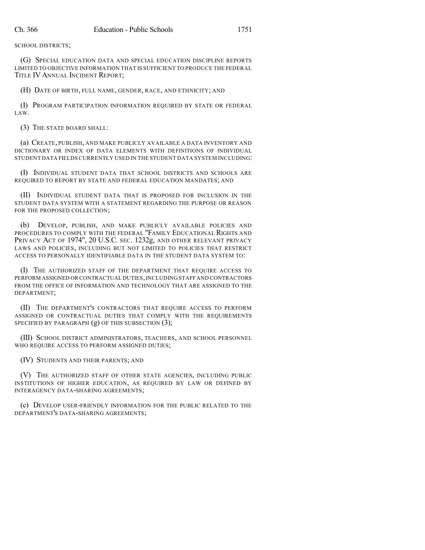SCHOOL DISTRICTS;

(G) SPECIAL EDUCATION DATA AND SPECIAL EDUCATION DISCIPLINE REPORTS LIMITED TO OBJECTIVE INFORMATION THAT IS SUFFICIENT TO PRODUCE THE FEDERAL TITLE IV ANNUAL INCIDENT REPORT;

(H) DATE OF BIRTH, FULL NAME, GENDER, RACE, AND ETHNICITY; AND

(I) PROGRAM PARTICIPATION INFORMATION REQUIRED BY STATE OR FEDERAL LAW.

(3) THE STATE BOARD SHALL:

(a) CREATE, PUBLISH, AND MAKE PUBLICLY AVAILABLE A DATA INVENTORY AND DICTIONARY OR INDEX OF DATA ELEMENTS WITH DEFINITIONS OF INDIVIDUAL STUDENT DATA FIELDS CURRENTLY USED IN THE STUDENT DATA SYSTEM INCLUDING:

(I) INDIVIDUAL STUDENT DATA THAT SCHOOL DISTRICTS AND SCHOOLS ARE REQUIRED TO REPORT BY STATE AND FEDERAL EDUCATION MANDATES; AND

(II) INDIVIDUAL STUDENT DATA THAT IS PROPOSED FOR INCLUSION IN THE STUDENT DATA SYSTEM WITH A STATEMENT REGARDING THE PURPOSE OR REASON FOR THE PROPOSED COLLECTION;

(b) DEVELOP, PUBLISH, AND MAKE PUBLICLY AVAILABLE POLICIES AND PROCEDURES TO COMPLY WITH THE FEDERAL "FAMILY EDUCATIONAL RIGHTS AND PRIVACY ACT OF 1974", 20 U.S.C. SEC. 1232g, AND OTHER RELEVANT PRIVACY LAWS AND POLICIES, INCLUDING BUT NOT LIMITED TO POLICIES THAT RESTRICT ACCESS TO PERSONALLY IDENTIFIABLE DATA IN THE STUDENT DATA SYSTEM TO:

(I) THE AUTHORIZED STAFF OF THE DEPARTMENT THAT REQUIRE ACCESS TO PERFORM ASSIGNED OR CONTRACTUAL DUTIES, INCLUDING STAFF AND CONTRACTORS FROM THE OFFICE OF INFORMATION AND TECHNOLOGY THAT ARE ASSIGNED TO THE DEPARTMENT;

(II) THE DEPARTMENT'S CONTRACTORS THAT REQUIRE ACCESS TO PERFORM ASSIGNED OR CONTRACTUAL DUTIES THAT COMPLY WITH THE REQUIREMENTS SPECIFIED BY PARAGRAPH (g) OF THIS SUBSECTION (3);

(III) SCHOOL DISTRICT ADMINISTRATORS, TEACHERS, AND SCHOOL PERSONNEL WHO REQUIRE ACCESS TO PERFORM ASSIGNED DUTIES;

(IV) STUDENTS AND THEIR PARENTS; AND

(V) THE AUTHORIZED STAFF OF OTHER STATE AGENCIES, INCLUDING PUBLIC INSTITUTIONS OF HIGHER EDUCATION, AS REQUIRED BY LAW OR DEFINED BY INTERAGENCY DATA-SHARING AGREEMENTS;

(c) DEVELOP USER-FRIENDLY INFORMATION FOR THE PUBLIC RELATED TO THE DEPARTMENT'S DATA-SHARING AGREEMENTS;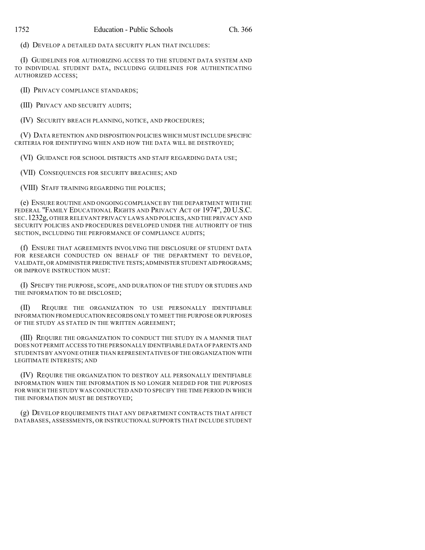(d) DEVELOP A DETAILED DATA SECURITY PLAN THAT INCLUDES:

(I) GUIDELINES FOR AUTHORIZING ACCESS TO THE STUDENT DATA SYSTEM AND TO INDIVIDUAL STUDENT DATA, INCLUDING GUIDELINES FOR AUTHENTICATING AUTHORIZED ACCESS;

(II) PRIVACY COMPLIANCE STANDARDS;

(III) PRIVACY AND SECURITY AUDITS;

(IV) SECURITY BREACH PLANNING, NOTICE, AND PROCEDURES;

(V) DATA RETENTION AND DISPOSITION POLICIES WHICH MUST INCLUDE SPECIFIC CRITERIA FOR IDENTIFYING WHEN AND HOW THE DATA WILL BE DESTROYED;

(VI) GUIDANCE FOR SCHOOL DISTRICTS AND STAFF REGARDING DATA USE;

(VII) CONSEQUENCES FOR SECURITY BREACHES; AND

(VIII) STAFF TRAINING REGARDING THE POLICIES;

(e) ENSURE ROUTINE AND ONGOING COMPLIANCE BY THE DEPARTMENT WITH THE FEDERAL "FAMILY EDUCATIONAL RIGHTS AND PRIVACY ACT OF 1974", 20 U.S.C. SEC.1232g, OTHER RELEVANT PRIVACY LAWS AND POLICIES, AND THE PRIVACY AND SECURITY POLICIES AND PROCEDURES DEVELOPED UNDER THE AUTHORITY OF THIS SECTION, INCLUDING THE PERFORMANCE OF COMPLIANCE AUDITS;

(f) ENSURE THAT AGREEMENTS INVOLVING THE DISCLOSURE OF STUDENT DATA FOR RESEARCH CONDUCTED ON BEHALF OF THE DEPARTMENT TO DEVELOP, VALIDATE,OR ADMINISTER PREDICTIVE TESTS;ADMINISTER STUDENT AID PROGRAMS; OR IMPROVE INSTRUCTION MUST:

(I) SPECIFY THE PURPOSE, SCOPE, AND DURATION OF THE STUDY OR STUDIES AND THE INFORMATION TO BE DISCLOSED;

(II) REQUIRE THE ORGANIZATION TO USE PERSONALLY IDENTIFIABLE INFORMATION FROM EDUCATION RECORDS ONLY TO MEET THE PURPOSE OR PURPOSES OF THE STUDY AS STATED IN THE WRITTEN AGREEMENT;

(III) REQUIRE THE ORGANIZATION TO CONDUCT THE STUDY IN A MANNER THAT DOES NOT PERMIT ACCESS TO THE PERSONALLY IDENTIFIABLE DATA OF PARENTS AND STUDENTS BY ANYONE OTHER THAN REPRESENTATIVES OF THE ORGANIZATION WITH LEGITIMATE INTERESTS; AND

(IV) REQUIRE THE ORGANIZATION TO DESTROY ALL PERSONALLY IDENTIFIABLE INFORMATION WHEN THE INFORMATION IS NO LONGER NEEDED FOR THE PURPOSES FOR WHICH THE STUDY WAS CONDUCTED AND TO SPECIFY THE TIME PERIOD IN WHICH THE INFORMATION MUST BE DESTROYED;

(g) DEVELOP REQUIREMENTS THAT ANY DEPARTMENT CONTRACTS THAT AFFECT DATABASES, ASSESSMENTS, OR INSTRUCTIONAL SUPPORTS THAT INCLUDE STUDENT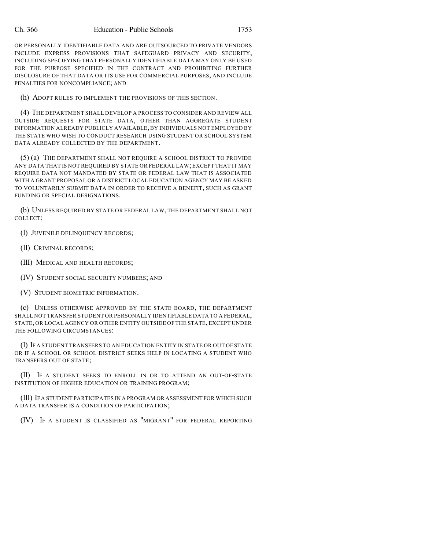OR PERSONALLY IDENTIFIABLE DATA AND ARE OUTSOURCED TO PRIVATE VENDORS INCLUDE EXPRESS PROVISIONS THAT SAFEGUARD PRIVACY AND SECURITY, INCLUDING SPECIFYING THAT PERSONALLY IDENTIFIABLE DATA MAY ONLY BE USED FOR THE PURPOSE SPECIFIED IN THE CONTRACT AND PROHIBITING FURTHER DISCLOSURE OF THAT DATA OR ITS USE FOR COMMERCIAL PURPOSES, AND INCLUDE PENALTIES FOR NONCOMPLIANCE; AND

(h) ADOPT RULES TO IMPLEMENT THE PROVISIONS OF THIS SECTION.

(4) THE DEPARTMENT SHALL DEVELOP A PROCESS TO CONSIDER AND REVIEW ALL OUTSIDE REQUESTS FOR STATE DATA, OTHER THAN AGGREGATE STUDENT INFORMATION ALREADY PUBLICLY AVAILABLE,BY INDIVIDUALS NOT EMPLOYED BY THE STATE WHO WISH TO CONDUCT RESEARCH USING STUDENT OR SCHOOL SYSTEM DATA ALREADY COLLECTED BY THE DEPARTMENT.

(5) (a) THE DEPARTMENT SHALL NOT REQUIRE A SCHOOL DISTRICT TO PROVIDE ANY DATA THAT IS NOT REQUIRED BY STATE OR FEDERAL LAW; EXCEPT THAT IT MAY REQUIRE DATA NOT MANDATED BY STATE OR FEDERAL LAW THAT IS ASSOCIATED WITH A GRANT PROPOSAL OR A DISTRICT LOCAL EDUCATION AGENCY MAY BE ASKED TO VOLUNTARILY SUBMIT DATA IN ORDER TO RECEIVE A BENEFIT, SUCH AS GRANT FUNDING OR SPECIAL DESIGNATIONS.

(b) UNLESS REQUIRED BY STATE OR FEDERAL LAW, THE DEPARTMENT SHALL NOT COLLECT:

(I) JUVENILE DELINQUENCY RECORDS;

- (II) CRIMINAL RECORDS;
- (III) MEDICAL AND HEALTH RECORDS;
- (IV) STUDENT SOCIAL SECURITY NUMBERS; AND
- (V) STUDENT BIOMETRIC INFORMATION.

(c) UNLESS OTHERWISE APPROVED BY THE STATE BOARD, THE DEPARTMENT SHALL NOT TRANSFER STUDENT OR PERSONALLY IDENTIFIABLE DATA TO A FEDERAL, STATE, OR LOCAL AGENCY OR OTHER ENTITY OUTSIDE OF THE STATE, EXCEPT UNDER THE FOLLOWING CIRCUMSTANCES:

(I) IF A STUDENT TRANSFERS TO AN EDUCATION ENTITY IN STATE OR OUT OF STATE OR IF A SCHOOL OR SCHOOL DISTRICT SEEKS HELP IN LOCATING A STUDENT WHO TRANSFERS OUT OF STATE;

(II) IF A STUDENT SEEKS TO ENROLL IN OR TO ATTEND AN OUT-OF-STATE INSTITUTION OF HIGHER EDUCATION OR TRAINING PROGRAM;

(III) IF A STUDENT PARTICIPATES IN A PROGRAM OR ASSESSMENT FOR WHICH SUCH A DATA TRANSFER IS A CONDITION OF PARTICIPATION;

(IV) IF A STUDENT IS CLASSIFIED AS "MIGRANT" FOR FEDERAL REPORTING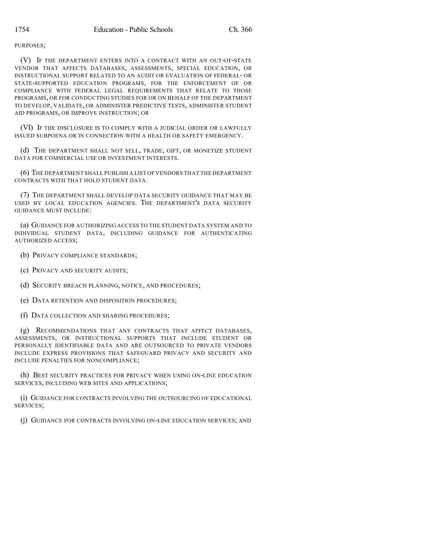PURPOSES;

(V) IF THE DEPARTMENT ENTERS INTO A CONTRACT WITH AN OUT-OF-STATE VENDOR THAT AFFECTS DATABASES, ASSESSMENTS, SPECIAL EDUCATION, OR INSTRUCTIONAL SUPPORT RELATED TO AN AUDIT OR EVALUATION OF FEDERAL- OR STATE-SUPPORTED EDUCATION PROGRAMS, FOR THE ENFORCEMENT OF OR COMPLIANCE WITH FEDERAL LEGAL REQUIREMENTS THAT RELATE TO THOSE PROGRAMS, OR FOR CONDUCTING STUDIES FOR OR ON BEHALF OF THE DEPARTMENT TO DEVELOP, VALIDATE, OR ADMINISTER PREDICTIVE TESTS, ADMINISTER STUDENT AID PROGRAMS, OR IMPROVE INSTRUCTION; OR

(VI) IF THE DISCLOSURE IS TO COMPLY WITH A JUDICIAL ORDER OR LAWFULLY ISSUED SUBPOENA OR IN CONNECTION WITH A HEALTH OR SAFETY EMERGENCY.

(d) THE DEPARTMENT SHALL NOT SELL, TRADE, GIFT, OR MONETIZE STUDENT DATA FOR COMMERCIAL USE OR INVESTMENT INTERESTS.

(6) THE DEPARTMENT SHALL PUBLISH A LIST OF VENDORS THAT THE DEPARTMENT CONTRACTS WITH THAT HOLD STUDENT DATA.

(7) THE DEPARTMENT SHALL DEVELOP DATA SECURITY GUIDANCE THAT MAY BE USED BY LOCAL EDUCATION AGENCIES. THE DEPARTMENT'S DATA SECURITY GUIDANCE MUST INCLUDE:

(a) GUIDANCE FOR AUTHORIZING ACCESS TO THE STUDENT DATA SYSTEM AND TO INDIVIDUAL STUDENT DATA, INCLUDING GUIDANCE FOR AUTHENTICATING AUTHORIZED ACCESS;

- (b) PRIVACY COMPLIANCE STANDARDS;
- (c) PRIVACY AND SECURITY AUDITS;
- (d) SECURITY BREACH PLANNING, NOTICE, AND PROCEDURES;
- (e) DATA RETENTION AND DISPOSITION PROCEDURES;
- (f) DATA COLLECTION AND SHARING PROCEDURES;

(g) RECOMMENDATIONS THAT ANY CONTRACTS THAT AFFECT DATABASES, ASSESSMENTS, OR INSTRUCTIONAL SUPPORTS THAT INCLUDE STUDENT OR PERSONALLY IDENTIFIABLE DATA AND ARE OUTSOURCED TO PRIVATE VENDORS INCLUDE EXPRESS PROVISIONS THAT SAFEGUARD PRIVACY AND SECURITY AND INCLUDE PENALTIES FOR NONCOMPLIANCE;

(h) BEST SECURITY PRACTICES FOR PRIVACY WHEN USING ON-LINE EDUCATION SERVICES, INCLUDING WEB SITES AND APPLICATIONS;

(i) GUIDANCE FOR CONTRACTS INVOLVING THE OUTSOURCING OF EDUCATIONAL SERVICES;

(j) GUIDANCE FOR CONTRACTS INVOLVING ON-LINE EDUCATION SERVICES; AND